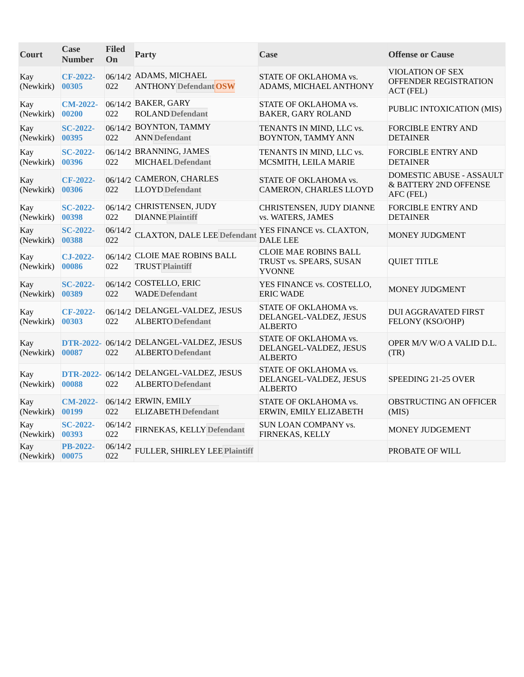| Court            | <b>Case</b><br><b>Number</b> | <b>Filed</b><br>On | <b>Party</b>                                                         | Case                                                                     | <b>Offense or Cause</b>                                        |
|------------------|------------------------------|--------------------|----------------------------------------------------------------------|--------------------------------------------------------------------------|----------------------------------------------------------------|
| Kay<br>(Newkirk) | CF-2022-<br>00305            | 022                | 06/14/2 ADAMS, MICHAEL<br><b>ANTHONY Defendant OSW</b>               | STATE OF OKLAHOMA vs.<br>ADAMS, MICHAEL ANTHONY                          | VIOLATION OF SEX<br>OFFENDER REGISTRATION<br>ACT (FEL)         |
| Kay<br>(Newkirk) | <b>CM-2022-</b><br>00200     | 022                | 06/14/2 BAKER, GARY<br><b>ROLAND</b> Defendant                       | STATE OF OKLAHOMA vs.<br><b>BAKER, GARY ROLAND</b>                       | PUBLIC INTOXICATION (MIS)                                      |
| Kay<br>(Newkirk) | <b>SC-2022-</b><br>00395     | 022                | 06/14/2 BOYNTON, TAMMY<br><b>ANN</b> Defendant                       | TENANTS IN MIND, LLC vs.<br>BOYNTON, TAMMY ANN                           | <b>FORCIBLE ENTRY AND</b><br><b>DETAINER</b>                   |
| Kay<br>(Newkirk) | <b>SC-2022-</b><br>00396     | 022                | 06/14/2 BRANNING, JAMES<br><b>MICHAEL</b> Defendant                  | TENANTS IN MIND, LLC vs.<br>MCSMITH, LEILA MARIE                         | <b>FORCIBLE ENTRY AND</b><br><b>DETAINER</b>                   |
| Kay<br>(Newkirk) | CF-2022-<br>00306            | 022                | 06/14/2 CAMERON, CHARLES<br><b>LLOYD</b> Defendant                   | STATE OF OKLAHOMA vs.<br>CAMERON, CHARLES LLOYD                          | DOMESTIC ABUSE - ASSAULT<br>& BATTERY 2ND OFFENSE<br>AFC (FEL) |
| Kay<br>(Newkirk) | <b>SC-2022-</b><br>00398     | 022                | 06/14/2 CHRISTENSEN, JUDY<br><b>DIANNE Plaintiff</b>                 | CHRISTENSEN, JUDY DIANNE<br>vs. WATERS, JAMES                            | <b>FORCIBLE ENTRY AND</b><br><b>DETAINER</b>                   |
| Kay<br>(Newkirk) | <b>SC-2022-</b><br>00388     | 06/14/2<br>022     | <b>CLAXTON, DALE LEE Defendant</b>                                   | YES FINANCE vs. CLAXTON,<br><b>DALE LEE</b>                              | MONEY JUDGMENT                                                 |
| Kay<br>(Newkirk) | CJ-2022-<br>00086            | 022                | 06/14/2 CLOIE MAE ROBINS BALL<br><b>TRUST Plaintiff</b>              | <b>CLOIE MAE ROBINS BALL</b><br>TRUST vs. SPEARS, SUSAN<br><b>YVONNE</b> | <b>QUIET TITLE</b>                                             |
| Kay<br>(Newkirk) | <b>SC-2022-</b><br>00389     | 022                | 06/14/2 COSTELLO, ERIC<br><b>WADE</b> Defendant                      | YES FINANCE vs. COSTELLO,<br><b>ERIC WADE</b>                            | MONEY JUDGMENT                                                 |
| Kay<br>(Newkirk) | CF-2022-<br>00303            | 022                | 06/14/2 DELANGEL-VALDEZ, JESUS<br><b>ALBERTO</b> Defendant           | STATE OF OKLAHOMA vs.<br>DELANGEL-VALDEZ, JESUS<br><b>ALBERTO</b>        | <b>DUI AGGRAVATED FIRST</b><br>FELONY (KSO/OHP)                |
| Kay<br>(Newkirk) | <b>DTR-2022-</b><br>00087    | 022                | 06/14/2 DELANGEL-VALDEZ, JESUS<br><b>ALBERTO</b> Defendant           | STATE OF OKLAHOMA vs.<br>DELANGEL-VALDEZ, JESUS<br>ALBERTO               | OPER M/V W/O A VALID D.L.<br>(TR)                              |
| Kay<br>(Newkirk) | 00088                        | 022                | DTR-2022- 06/14/2 DELANGEL-VALDEZ, JESUS<br><b>ALBERTO</b> Defendant | STATE OF OKLAHOMA vs.<br>DELANGEL-VALDEZ, JESUS<br><b>ALBERTO</b>        | SPEEDING 21-25 OVER                                            |
| Kay<br>(Newkirk) | $CM-2022-$<br>00199          | 022                | 06/14/2 ERWIN, EMILY<br><b>ELIZABETH</b> Defendant                   | STATE OF OKLAHOMA vs.<br>ERWIN, EMILY ELIZABETH                          | OBSTRUCTING AN OFFICER<br>(MIS)                                |
| Kay<br>(Newkirk) | <b>SC-2022-</b><br>00393     | 06/14/2<br>022     | FIRNEKAS, KELLY Defendant                                            | SUN LOAN COMPANY vs.<br>FIRNEKAS, KELLY                                  | MONEY JUDGEMENT                                                |
| Kay<br>(Newkirk) | <b>PB-2022-</b><br>00075     | 06/14/2<br>022     | FULLER, SHIRLEY LEE Plaintiff                                        |                                                                          | PROBATE OF WILL                                                |